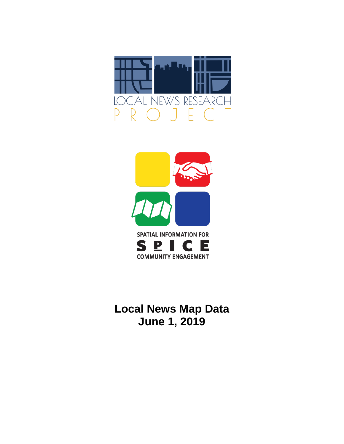



# **Local News Map Data June 1, 2019**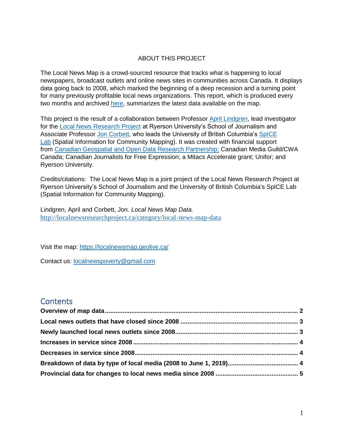### ABOUT THIS PROJECT

The Local News Map is a crowd-sourced resource that tracks what is happening to local newspapers, broadcast outlets and online news sites in communities across Canada. It displays data going back to 2008, which marked the beginning of a deep recession and a turning point for many previously profitable local news organizations. This report, which is produced every two months and archived [here,](http://localnewsresearchproject.ca/category/local-news-map-data) summarizes the latest data available on the map.

This project is the result of a collaboration between Professor [April Lindgren,](http://rsj.journalism.ryerson.ca/team/april-lindgren/) lead investigator for the [Local News Research Project](http://localnewsresearchproject.ca/) at Ryerson University's School of Journalism and Associate Professor [Jon Corbett,](http://joncorbett.com/JonCorbett/Home.html) who leads the University of British Columbia's [SpICE](http://spice.geolive.ca/)  [Lab](http://spice.geolive.ca/) (Spatial Information for Community Mapping). It was created with financial support from [Canadian Geospatial and Open Data Research Partnership;](http://geothink.ca/) Canadian Media Guild/CWA Canada; Canadian Journalists for Free Expression; a Mitacs Accelerate grant; Unifor; and Ryerson University.

Credits/citations: The Local News Map is a joint project of the Local News Research Project at Ryerson University's School of Journalism and the University of British Columbia's SpICE Lab (Spatial Information for Community Mapping).

Lindgren, April and Corbett, Jon. *Local News Map Data.*  <http://localnewsresearchproject.ca/category/local-news-map-data>

Visit the map:<https://localnewsmap.geolive.ca/>

Contact us: [localnewspoverty@gmail.com](mailto:localnewspoverty@gmail.com)

### **Contents**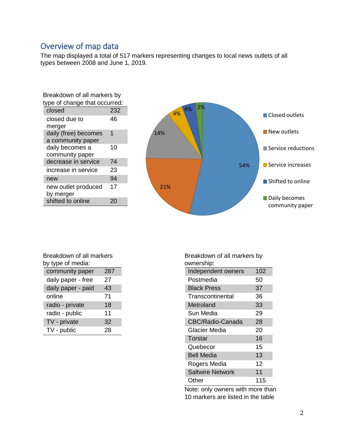## <span id="page-2-0"></span>Overview of map data

The map displayed a total of 517 markers representing changes to local news outlets of all types between 2008 and June 1, 2019.

| Breakdown of all markers by   |     |  |
|-------------------------------|-----|--|
| type of change that occurred: |     |  |
| closed                        | 232 |  |
| closed due to                 | 46  |  |
| merger                        |     |  |
| daily (free) becomes          | 1   |  |
| a community paper             |     |  |
| daily becomes a               | 10  |  |
| community paper               |     |  |
| decrease in service           | 74  |  |
| increase in service           | 23  |  |
| new                           | 94  |  |
| new outlet produced           | 17  |  |
| by merger                     |     |  |
| shifted to online             | 20  |  |



| Breakdown of all markers |     |  |  |
|--------------------------|-----|--|--|
| by type of media:        |     |  |  |
| community paper          | 287 |  |  |
| daily paper - free       | 27  |  |  |
|                          |     |  |  |

| daily paper - paid | 43 |
|--------------------|----|
| online             | 71 |
| radio - private    | 18 |
| radio - public     | 11 |
| TV - private       | 32 |
| TV - public        | 28 |

Breakdown of all markers by ownership:

| uwuunuun,               |     |
|-------------------------|-----|
| Independent owners      | 102 |
| Postmedia               | 50  |
| <b>Black Press</b>      | 37  |
| Transcontinental        | 36  |
| Metroland               | 33  |
| Sun Media               | 29  |
| CBC/Radio-Canada        | 28  |
| Glacier Media           | 20  |
| Torstar                 | 16  |
| Quebecor                | 15  |
| <b>Bell Media</b>       | 13  |
| Rogers Media            | 12  |
| <b>Saltwire Network</b> | 11  |
| Other                   | 115 |

Note: only owners with more than 10 markers are listed in the table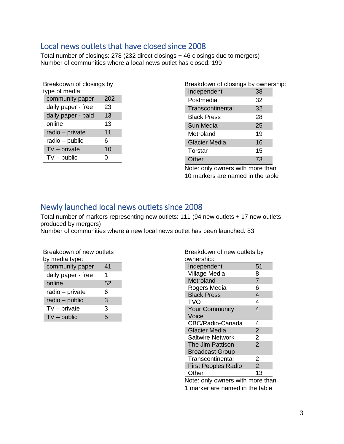## <span id="page-3-0"></span>Local news outlets that have closed since 2008

Total number of closings: 278 (232 direct closings + 46 closings due to mergers) Number of communities where a local news outlet has closed: 199

| Breakdown of closings by<br>type of media: |     |  |  |  |
|--------------------------------------------|-----|--|--|--|
| community paper                            | 202 |  |  |  |
| daily paper - free                         | 23  |  |  |  |
| daily paper - paid                         | 13  |  |  |  |
| online                                     | 13  |  |  |  |
| radio - private                            | 11  |  |  |  |
| radio - public                             | 6   |  |  |  |
| $TV$ – private                             | 10  |  |  |  |
| $TV$ – public                              | 0   |  |  |  |
|                                            |     |  |  |  |

| Breakdown of closings by ownership: |    |  |
|-------------------------------------|----|--|
| Independent                         | 38 |  |
| Postmedia                           | 32 |  |
| Transcontinental                    | 32 |  |
| <b>Black Press</b>                  | 28 |  |
| Sun Media                           | 25 |  |
| Metroland                           | 19 |  |
| <b>Glacier Media</b>                | 16 |  |
| Torstar                             | 15 |  |
| Other                               | 73 |  |

Note: only owners with more than 10 markers are named in the table

# <span id="page-3-1"></span>Newly launched local news outlets since 2008

Total number of markers representing new outlets: 111 (94 new outlets + 17 new outlets produced by mergers)

Number of communities where a new local news outlet has been launched: 83

| Breakdown of new outlets<br>by media type: |    |  |  |  |
|--------------------------------------------|----|--|--|--|
| community paper                            | 41 |  |  |  |
| daily paper - free                         | 1  |  |  |  |
| online                                     | 52 |  |  |  |
| radio – private                            | 6  |  |  |  |
| radio - public                             | 3  |  |  |  |
| $TV$ – private                             | 3  |  |  |  |
| $TV$ – public                              | 5  |  |  |  |

| Breakdown of new outlets by<br>ownership: |                |  |  |
|-------------------------------------------|----------------|--|--|
| Independent                               | 51             |  |  |
| Village Media                             | 8              |  |  |
| Metroland                                 | $\overline{7}$ |  |  |
| Rogers Media                              | 6              |  |  |
| <b>Black Press</b>                        | $\overline{4}$ |  |  |
| <b>TVO</b>                                | 4              |  |  |
| <b>Your Community</b>                     | 4              |  |  |
| Voice                                     |                |  |  |
| <b>CBC/Radio-Canada</b>                   | 4              |  |  |
| <b>Glacier Media</b>                      | $\overline{2}$ |  |  |
| <b>Saltwire Network</b>                   | $\overline{2}$ |  |  |
| The Jim Pattison                          | $\overline{2}$ |  |  |
| <b>Broadcast Group</b>                    |                |  |  |
| Transcontinental                          | 2              |  |  |
| <b>First Peoples Radio</b>                | $\overline{2}$ |  |  |
| Other                                     | 13             |  |  |
|                                           |                |  |  |

Note: only owners with more than 1 marker are named in the table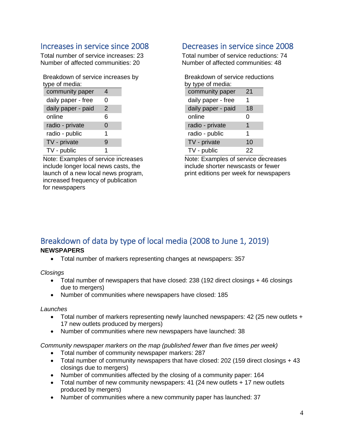## <span id="page-4-0"></span>Increases in service since 2008

Total number of service increases: 23 Number of affected communities: 20

Breakdown of service increases by type of media:

| community paper    | 4 |  |
|--------------------|---|--|
| daily paper - free | O |  |
| daily paper - paid | 2 |  |
| online             | 6 |  |
| radio - private    | 0 |  |
| radio - public     | 1 |  |
| TV - private       | 9 |  |
| TV - public        |   |  |

Note: Examples of service increases include longer local news casts, the launch of a new local news program, increased frequency of publication for newspapers

## <span id="page-4-1"></span>Decreases in service since 2008

Total number of service reductions: 74 Number of affected communities: 48

| Breakdown of service reductions |    |  |  |  |
|---------------------------------|----|--|--|--|
| by type of media:               |    |  |  |  |
| community paper                 | 21 |  |  |  |
| daily paper - free              | 1  |  |  |  |
| daily paper - paid              | 18 |  |  |  |
| online                          | 0  |  |  |  |
| radio - private                 | 1  |  |  |  |
| radio - public                  | 1  |  |  |  |
| TV - private                    | 10 |  |  |  |
| TV - public                     | 22 |  |  |  |

Note: Examples of service decreases include shorter newscasts or fewer print editions per week for newspapers

# <span id="page-4-2"></span>Breakdown of data by type of local media (2008 to June 1, 2019)

### **NEWSPAPERS**

• Total number of markers representing changes at newspapers: 357

*Closings*

- Total number of newspapers that have closed: 238 (192 direct closings + 46 closings due to mergers)
- Number of communities where newspapers have closed: 185

### *Launches*

- Total number of markers representing newly launched newspapers: 42 (25 new outlets + 17 new outlets produced by mergers)
- Number of communities where new newspapers have launched: 38

*Community newspaper markers on the map (published fewer than five times per week)* 

- Total number of community newspaper markers: 287
- Total number of community newspapers that have closed: 202 (159 direct closings + 43 closings due to mergers)
- Number of communities affected by the closing of a community paper: 164
- Total number of new community newspapers: 41 (24 new outlets + 17 new outlets produced by mergers)
- Number of communities where a new community paper has launched: 37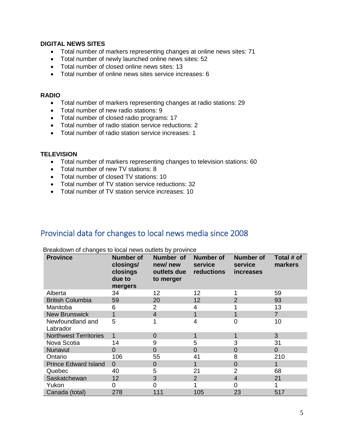### **DIGITAL NEWS SITES**

- Total number of markers representing changes at online news sites: 71
- Total number of newly launched online news sites: 52
- Total number of closed online news sites: 13
- Total number of online news sites service increases: 6

#### **RADIO**

- Total number of markers representing changes at radio stations: 29
- Total number of new radio stations: 9
- Total number of closed radio programs: 17
- Total number of radio station service reductions: 2
- Total number of radio station service increases: 1

### **TELEVISION**

- Total number of markers representing changes to television stations: 60
- Total number of new TV stations: 8
- Total number of closed TV stations: 10
- Total number of TV station service reductions: 32
- Total number of TV station service increases: 10

### <span id="page-5-0"></span>Provincial data for changes to local news media since 2008

| <b>Province</b>              | <b>Number of</b><br>closings/<br>closings<br>due to<br>mergers | Number of<br>new/new<br>outlets due<br>to merger | <b>Number of</b><br>service<br>reductions | <b>Number of</b><br>service<br><i>increases</i> | Total # of<br>markers |
|------------------------------|----------------------------------------------------------------|--------------------------------------------------|-------------------------------------------|-------------------------------------------------|-----------------------|
| Alberta                      | 34                                                             | 12                                               | 12                                        |                                                 | 59                    |
| <b>British Columbia</b>      | 59                                                             | 20                                               | 12                                        | $\overline{2}$                                  | 93                    |
| Manitoba                     | 6                                                              | 2                                                | 4                                         |                                                 | 13                    |
| <b>New Brunswick</b>         | 1.                                                             | 4                                                |                                           |                                                 | $\overline{7}$        |
| Newfoundland and<br>Labrador | 5                                                              |                                                  | 4                                         | $\Omega$                                        | 10                    |
| <b>Northwest Territories</b> | $\mathbf 1$                                                    | 0                                                |                                           | 1                                               | 3                     |
| Nova Scotia                  | 14                                                             | 9                                                | 5                                         | 3                                               | 31                    |
| Nunavut                      | $\Omega$                                                       | 0                                                | 0                                         | $\overline{0}$                                  | $\overline{0}$        |
| Ontario                      | 106                                                            | 55                                               | 41                                        | 8                                               | 210                   |
| <b>Prince Edward Island</b>  | $\Omega$                                                       | 0                                                |                                           | $\overline{0}$                                  | 1                     |
| Quebec                       | 40                                                             | 5                                                | 21                                        | $\overline{2}$                                  | 68                    |
| Saskatchewan                 | 12                                                             | 3                                                | 2                                         | 4                                               | 21                    |
| Yukon                        | 0                                                              | 0                                                |                                           | 0                                               |                       |
| Canada (total)               | 278                                                            | 111                                              | 105                                       | 23                                              | 517                   |

Breakdown of changes to local news outlets by province